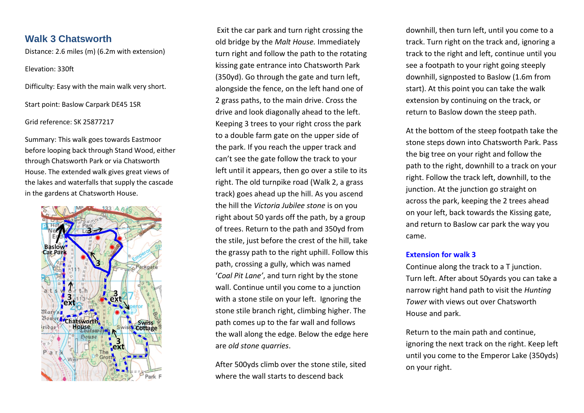# **Walk 3 Chatsworth**

Distance: 2.6 miles (m) (6.2m with extension)

## Elevation: 330ft

Difficulty: Easy with the main walk very short.

Start point: Baslow Carpark DE45 1SR

## Grid reference: SK 25877217

Summary: This walk goes towards Eastmoor before looping back through Stand Wood, either through Chatsworth Park or via Chatsworth House. The extended walk gives great views of the lakes and waterfalls that supply the cascade in the gardens at Chatsworth House.



Exit the car park and turn right crossing the old bridge by the *Malt House.* Immediately turn right and follow the path to the rotating kissing gate entrance into Chatsworth Park (350yd). Go through the gate and turn left, alongside the fence, on the left hand one of 2 grass paths, to the main drive. Cross the drive and look diagonally ahead to the left. Keeping 3 trees to your right cross the park to a double farm gate on the upper side of the park. If you reach the upper track and can't see the gate follow the track to your left until it appears, then go over a stile to its right. The old turnpike road (Walk 2, a grass track) goes ahead up the hill. As you ascend the hill the *Victoria Jubilee stone* is on you right about 50 yards off the path, by a group of trees. Return to the path and 350yd from the stile, just before the crest of the hill, take the grassy path to the right uphill. Follow this path, crossing a gully, which was named '*Coal Pit Lane'*, and turn right by the stone wall. Continue until you come to a junction with a stone stile on your left. Ignoring the stone stile branch right, climbing higher. The path comes up to the far wall and follows the wall along the edge. Below the edge here are *old stone quarries*.

After 500yds climb over the stone stile, sited where the wall starts to descend back

downhill, then turn left, until you come to a track. Turn right on the track and, ignoring a track to the right and left, continue until you see a footpath to your right going steeply downhill, signposted to Baslow (1.6m from start). At this point you can take the walk extension by continuing on the track, or return to Baslow down the steep path.

At the bottom of the steep footpath take the stone steps down into Chatsworth Park. Pass the big tree on your right and follow the path to the right, downhill to a track on your right. Follow the track left, downhill, to the junction. At the junction go straight on across the park, keeping the 2 trees ahead on your left, back towards the Kissing gate, and return to Baslow car park the way you came.

## **Extension for walk 3**

Continue along the track to a T junction. Turn left. After about 50yards you can take a narrow right hand path to visit the *Hunting Tower* with views out over Chatsworth House and park.

Return to the main path and continue, ignoring the next track on the right. Keep left until you come to the Emperor Lake (350yds) on your right.